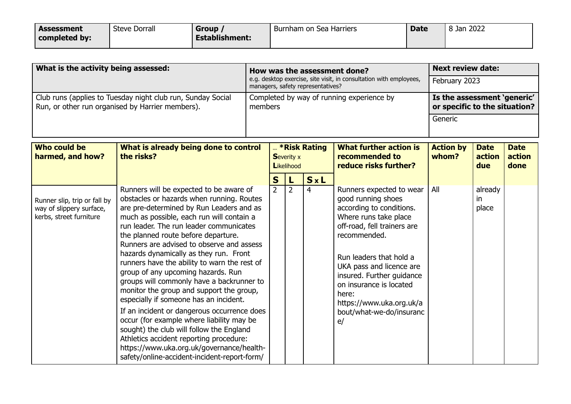| Assessment    | <b>Steve Dorrall</b> | <b>Group</b>          | Burnham on Sea Harriers | <b>Date</b> | 8 Jan 2022 |
|---------------|----------------------|-----------------------|-------------------------|-------------|------------|
| completed by: |                      | <b>Establishment:</b> |                         |             |            |

| What is the activity being assessed:                                                                            | How was the assessment done?                                                                            | <b>Next review date:</b>                                     |  |  |
|-----------------------------------------------------------------------------------------------------------------|---------------------------------------------------------------------------------------------------------|--------------------------------------------------------------|--|--|
|                                                                                                                 | e.g. desktop exercise, site visit, in consultation with employees,<br>managers, safety representatives? | February 2023                                                |  |  |
| Club runs (applies to Tuesday night club run, Sunday Social<br>Run, or other run organised by Harrier members). | Completed by way of running experience by<br>members                                                    | Is the assessment 'generic'<br>or specific to the situation? |  |  |
|                                                                                                                 |                                                                                                         | Generic                                                      |  |  |

| Who could be<br>harmed, and how?                                                    | What is already being done to control<br>the risks?                                                                                                                                                                                                                                                                                                                                                                                         | <b>Example 2 King X</b> * Risk Rating<br><b>Severity x</b><br>Likelihood |                |            | <b>What further action is</b><br>recommended to<br>reduce risks further?                                                                                                                        | <b>Action by</b><br>whom? | <b>Date</b><br>action<br>due | <b>Date</b><br>action<br>done |
|-------------------------------------------------------------------------------------|---------------------------------------------------------------------------------------------------------------------------------------------------------------------------------------------------------------------------------------------------------------------------------------------------------------------------------------------------------------------------------------------------------------------------------------------|--------------------------------------------------------------------------|----------------|------------|-------------------------------------------------------------------------------------------------------------------------------------------------------------------------------------------------|---------------------------|------------------------------|-------------------------------|
| Runner slip, trip or fall by<br>way of slippery surface,<br>kerbs, street furniture | Runners will be expected to be aware of<br>obstacles or hazards when running. Routes<br>are pre-determined by Run Leaders and as                                                                                                                                                                                                                                                                                                            | S<br>$\overline{2}$                                                      | $\overline{2}$ | S x L<br>4 | Runners expected to wear<br>good running shoes<br>according to conditions.<br>Where runs take place                                                                                             | All                       | already<br>-in<br>place      |                               |
|                                                                                     | much as possible, each run will contain a<br>run leader. The run leader communicates<br>the planned route before departure.<br>Runners are advised to observe and assess<br>hazards dynamically as they run. Front<br>runners have the ability to warn the rest of<br>group of any upcoming hazards. Run<br>groups will commonly have a backrunner to<br>monitor the group and support the group,<br>especially if someone has an incident. |                                                                          |                |            | off-road, fell trainers are<br>recommended.<br>Run leaders that hold a<br>UKA pass and licence are<br>insured. Further guidance<br>on insurance is located<br>here:<br>https://www.uka.org.uk/a |                           |                              |                               |
|                                                                                     | If an incident or dangerous occurrence does<br>occur (for example where liability may be<br>sought) the club will follow the England<br>Athletics accident reporting procedure:<br>https://www.uka.org.uk/governance/health-<br>safety/online-accident-incident-report-form/                                                                                                                                                                |                                                                          |                |            | bout/what-we-do/insuranc<br>e/                                                                                                                                                                  |                           |                              |                               |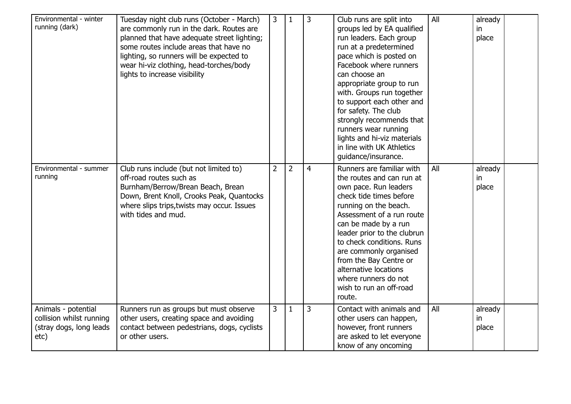| Environmental - winter<br>running (dark)                                           | Tuesday night club runs (October - March)<br>are commonly run in the dark. Routes are<br>planned that have adequate street lighting;<br>some routes include areas that have no<br>lighting, so runners will be expected to<br>wear hi-viz clothing, head-torches/body<br>lights to increase visibility | 3              | $\mathbf{1}$   | 3              | Club runs are split into<br>groups led by EA qualified<br>run leaders. Each group<br>run at a predetermined<br>pace which is posted on<br>Facebook where runners<br>can choose an<br>appropriate group to run<br>with. Groups run together<br>to support each other and<br>for safety. The club<br>strongly recommends that<br>runners wear running<br>lights and hi-viz materials<br>in line with UK Athletics<br>guidance/insurance. | All | already<br>in<br>place |  |
|------------------------------------------------------------------------------------|--------------------------------------------------------------------------------------------------------------------------------------------------------------------------------------------------------------------------------------------------------------------------------------------------------|----------------|----------------|----------------|----------------------------------------------------------------------------------------------------------------------------------------------------------------------------------------------------------------------------------------------------------------------------------------------------------------------------------------------------------------------------------------------------------------------------------------|-----|------------------------|--|
| Environmental - summer<br>running                                                  | Club runs include (but not limited to)<br>off-road routes such as<br>Burnham/Berrow/Brean Beach, Brean<br>Down, Brent Knoll, Crooks Peak, Quantocks<br>where slips trips, twists may occur. Issues<br>with tides and mud.                                                                              | $\overline{2}$ | $\overline{2}$ | $\overline{4}$ | Runners are familiar with<br>the routes and can run at<br>own pace. Run leaders<br>check tide times before<br>running on the beach.<br>Assessment of a run route<br>can be made by a run<br>leader prior to the clubrun<br>to check conditions. Runs<br>are commonly organised<br>from the Bay Centre or<br>alternative locations<br>where runners do not<br>wish to run an off-road<br>route.                                         | All | already<br>in<br>place |  |
| Animals - potential<br>collision whilst running<br>(stray dogs, long leads<br>etc) | Runners run as groups but must observe<br>other users, creating space and avoiding<br>contact between pedestrians, dogs, cyclists<br>or other users.                                                                                                                                                   | 3              | $\mathbf{1}$   | 3              | Contact with animals and<br>other users can happen,<br>however, front runners<br>are asked to let everyone<br>know of any oncoming                                                                                                                                                                                                                                                                                                     | All | already<br>in<br>place |  |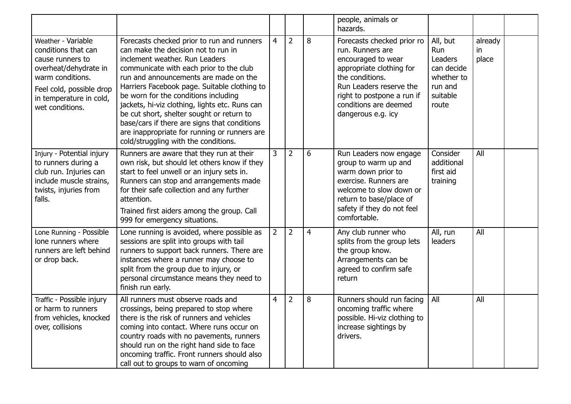|                                                                                                                                                                                      |                                                                                                                                                                                                                                                                                                                                                                                                                                                                                                                                        |                |                |                | people, animals or<br>hazards.                                                                                                                                                                                              |                                                                                        |                        |  |
|--------------------------------------------------------------------------------------------------------------------------------------------------------------------------------------|----------------------------------------------------------------------------------------------------------------------------------------------------------------------------------------------------------------------------------------------------------------------------------------------------------------------------------------------------------------------------------------------------------------------------------------------------------------------------------------------------------------------------------------|----------------|----------------|----------------|-----------------------------------------------------------------------------------------------------------------------------------------------------------------------------------------------------------------------------|----------------------------------------------------------------------------------------|------------------------|--|
| Weather - Variable<br>conditions that can<br>cause runners to<br>overheat/dehydrate in<br>warm conditions.<br>Feel cold, possible drop<br>in temperature in cold,<br>wet conditions. | Forecasts checked prior to run and runners<br>can make the decision not to run in<br>inclement weather. Run Leaders<br>communicate with each prior to the club<br>run and announcements are made on the<br>Harriers Facebook page. Suitable clothing to<br>be worn for the conditions including<br>jackets, hi-viz clothing, lights etc. Runs can<br>be cut short, shelter sought or return to<br>base/cars if there are signs that conditions<br>are inappropriate for running or runners are<br>cold/struggling with the conditions. | $\overline{4}$ | $\overline{2}$ | 8              | Forecasts checked prior ro<br>run. Runners are<br>encouraged to wear<br>appropriate clothing for<br>the conditions.<br>Run Leaders reserve the<br>right to postpone a run if<br>conditions are deemed<br>dangerous e.g. icy | All, but<br>Run<br>Leaders<br>can decide<br>whether to<br>run and<br>suitable<br>route | already<br>in<br>place |  |
| Injury - Potential injury<br>to runners during a<br>club run. Injuries can<br>include muscle strains,<br>twists, injuries from<br>falls.                                             | Runners are aware that they run at their<br>own risk, but should let others know if they<br>start to feel unwell or an injury sets in.<br>Runners can stop and arrangements made<br>for their safe collection and any further<br>attention.<br>Trained first aiders among the group. Call<br>999 for emergency situations.                                                                                                                                                                                                             | 3              | $\overline{2}$ | 6              | Run Leaders now engage<br>group to warm up and<br>warm down prior to<br>exercise. Runners are<br>welcome to slow down or<br>return to base/place of<br>safety if they do not feel<br>comfortable.                           | Consider<br>additional<br>first aid<br>training                                        | All                    |  |
| Lone Running - Possible<br>lone runners where<br>runners are left behind<br>or drop back.                                                                                            | Lone running is avoided, where possible as<br>sessions are split into groups with tail<br>runners to support back runners. There are<br>instances where a runner may choose to<br>split from the group due to injury, or<br>personal circumstance means they need to<br>finish run early.                                                                                                                                                                                                                                              | $\overline{2}$ | $\overline{2}$ | $\overline{4}$ | Any club runner who<br>splits from the group lets<br>the group know.<br>Arrangements can be<br>agreed to confirm safe<br>return                                                                                             | All, run<br>leaders                                                                    | All                    |  |
| Traffic - Possible injury<br>or harm to runners<br>from vehicles, knocked<br>over, collisions                                                                                        | All runners must observe roads and<br>crossings, being prepared to stop where<br>there is the risk of runners and vehicles<br>coming into contact. Where runs occur on<br>country roads with no pavements, runners<br>should run on the right hand side to face<br>oncoming traffic. Front runners should also<br>call out to groups to warn of oncoming                                                                                                                                                                               | $\overline{4}$ | $\overline{2}$ | 8              | Runners should run facing<br>oncoming traffic where<br>possible. Hi-viz clothing to<br>increase sightings by<br>drivers.                                                                                                    | All                                                                                    | All                    |  |